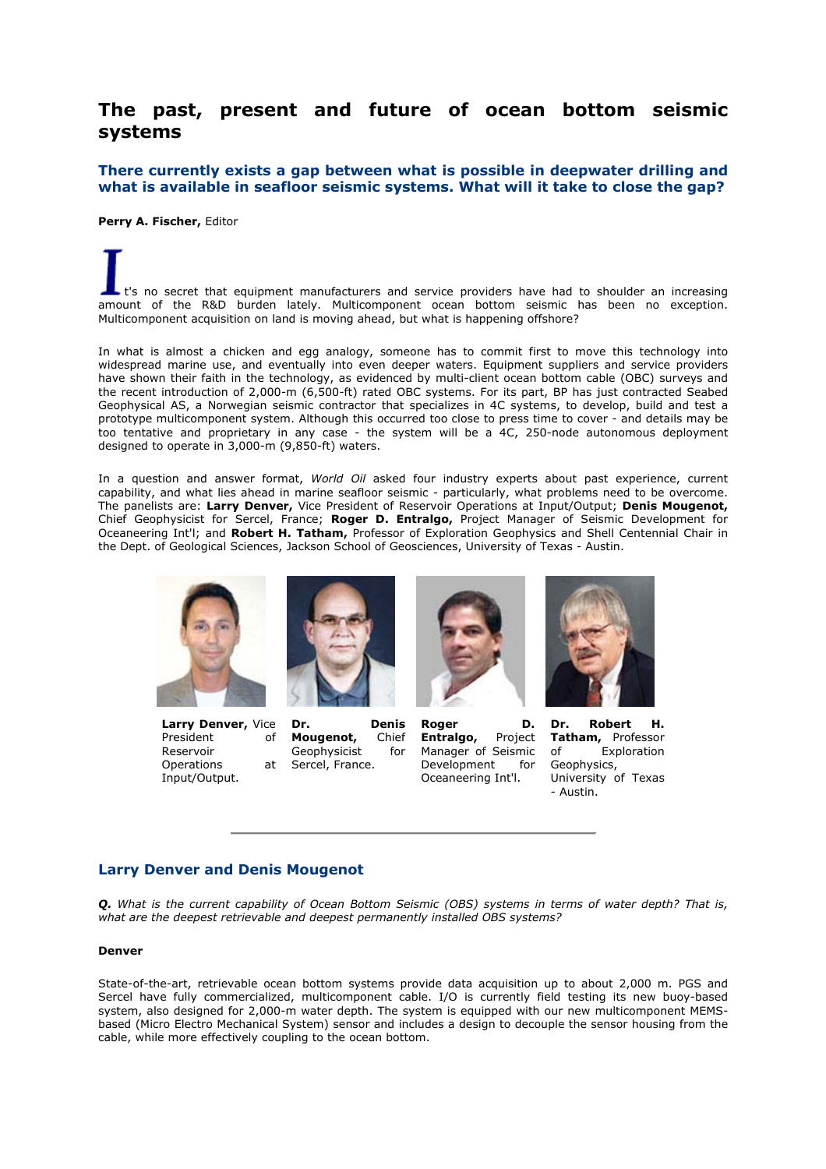# **The past, present and future of ocean bottom seismic systems**

**There currently exists a gap between what is possible in deepwater drilling and what is available in seafloor seismic systems. What will it take to close the gap?**

**Perry A. Fischer,** Editor

t's no secret that equipment manufacturers and service providers have had to shoulder an increasing amount of the R&D burden lately. Multicomponent ocean bottom seismic has been no exception. Multicomponent acquisition on land is moving ahead, but what is happening offshore?

In what is almost a chicken and egg analogy, someone has to commit first to move this technology into widespread marine use, and eventually into even deeper waters. Equipment suppliers and service providers have shown their faith in the technology, as evidenced by multi-client ocean bottom cable (OBC) surveys and the recent introduction of 2,000-m (6,500-ft) rated OBC systems. For its part, BP has just contracted Seabed Geophysical AS, a Norwegian seismic contractor that specializes in 4C systems, to develop, build and test a prototype multicomponent system. Although this occurred too close to press time to cover - and details may be too tentative and proprietary in any case - the system will be a 4C, 250-node autonomous deployment designed to operate in 3,000-m (9,850-ft) waters.

In a question and answer format, *World Oil* asked four industry experts about past experience, current capability, and what lies ahead in marine seafloor seismic - particularly, what problems need to be overcome. The panelists are: **Larry Denver,** Vice President of Reservoir Operations at Input/Output; **Denis Mougenot,** Chief Geophysicist for Sercel, France; **Roger D. Entralgo,** Project Manager of Seismic Development for Oceaneering Int'l; and **Robert H. Tatham,** Professor of Exploration Geophysics and Shell Centennial Chair in the Dept. of Geological Sciences, Jackson School of Geosciences, University of Texas - Austin.



**Larry Denver,** Vice President of Reservoir Operations at Input/Output.



**Dr. Denis Mougenot,** Chief Geophysicist for Sercel, France.



**Roger D. Entralgo,** Project Manager of Seismic Development for Oceaneering Int'l.



**Dr. Robert H. Tatham,** Professor of Exploration Geophysics, University of Texas - Austin.

# **Larry Denver and Denis Mougenot**

*Q. What is the current capability of Ocean Bottom Seismic (OBS) systems in terms of water depth? That is, what are the deepest retrievable and deepest permanently installed OBS systems?*

### **Denver**

State-of-the-art, retrievable ocean bottom systems provide data acquisition up to about 2,000 m. PGS and Sercel have fully commercialized, multicomponent cable. I/O is currently field testing its new buoy-based system, also designed for 2,000-m water depth. The system is equipped with our new multicomponent MEMSbased (Micro Electro Mechanical System) sensor and includes a design to decouple the sensor housing from the cable, while more effectively coupling to the ocean bottom.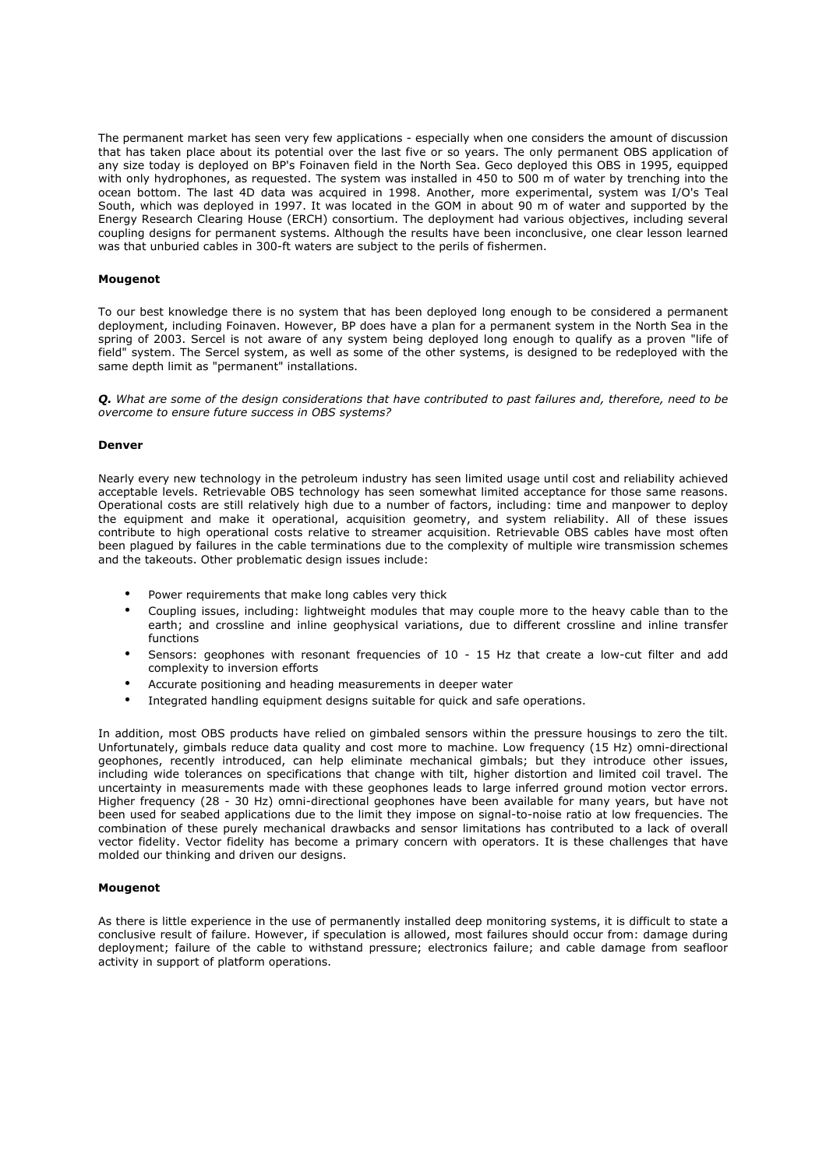The permanent market has seen very few applications - especially when one considers the amount of discussion that has taken place about its potential over the last five or so years. The only permanent OBS application of any size today is deployed on BP's Foinaven field in the North Sea. Geco deployed this OBS in 1995, equipped with only hydrophones, as requested. The system was installed in 450 to 500 m of water by trenching into the ocean bottom. The last 4D data was acquired in 1998. Another, more experimental, system was I/O's Teal South, which was deployed in 1997. It was located in the GOM in about 90 m of water and supported by the Energy Research Clearing House (ERCH) consortium. The deployment had various objectives, including several coupling designs for permanent systems. Although the results have been inconclusive, one clear lesson learned was that unburied cables in 300-ft waters are subject to the perils of fishermen.

#### **Mougenot**

To our best knowledge there is no system that has been deployed long enough to be considered a permanent deployment, including Foinaven. However, BP does have a plan for a permanent system in the North Sea in the spring of 2003. Sercel is not aware of any system being deployed long enough to qualify as a proven "life of field" system. The Sercel system, as well as some of the other systems, is designed to be redeployed with the same depth limit as "permanent" installations.

*Q. What are some of the design considerations that have contributed to past failures and, therefore, need to be overcome to ensure future success in OBS systems?*

#### **Denver**

Nearly every new technology in the petroleum industry has seen limited usage until cost and reliability achieved acceptable levels. Retrievable OBS technology has seen somewhat limited acceptance for those same reasons. Operational costs are still relatively high due to a number of factors, including: time and manpower to deploy the equipment and make it operational, acquisition geometry, and system reliability. All of these issues contribute to high operational costs relative to streamer acquisition. Retrievable OBS cables have most often been plagued by failures in the cable terminations due to the complexity of multiple wire transmission schemes and the takeouts. Other problematic design issues include:

- Power requirements that make long cables very thick
- Coupling issues, including: lightweight modules that may couple more to the heavy cable than to the earth; and crossline and inline geophysical variations, due to different crossline and inline transfer functions
- Sensors: geophones with resonant frequencies of 10 15 Hz that create a low-cut filter and add complexity to inversion efforts
- Accurate positioning and heading measurements in deeper water
- Integrated handling equipment designs suitable for quick and safe operations.

In addition, most OBS products have relied on gimbaled sensors within the pressure housings to zero the tilt. Unfortunately, gimbals reduce data quality and cost more to machine. Low frequency (15 Hz) omni-directional geophones, recently introduced, can help eliminate mechanical gimbals; but they introduce other issues, including wide tolerances on specifications that change with tilt, higher distortion and limited coil travel. The uncertainty in measurements made with these geophones leads to large inferred ground motion vector errors. Higher frequency (28 - 30 Hz) omni-directional geophones have been available for many years, but have not been used for seabed applications due to the limit they impose on signal-to-noise ratio at low frequencies. The combination of these purely mechanical drawbacks and sensor limitations has contributed to a lack of overall vector fidelity. Vector fidelity has become a primary concern with operators. It is these challenges that have molded our thinking and driven our designs.

#### **Mougenot**

As there is little experience in the use of permanently installed deep monitoring systems, it is difficult to state a conclusive result of failure. However, if speculation is allowed, most failures should occur from: damage during deployment; failure of the cable to withstand pressure; electronics failure; and cable damage from seafloor activity in support of platform operations.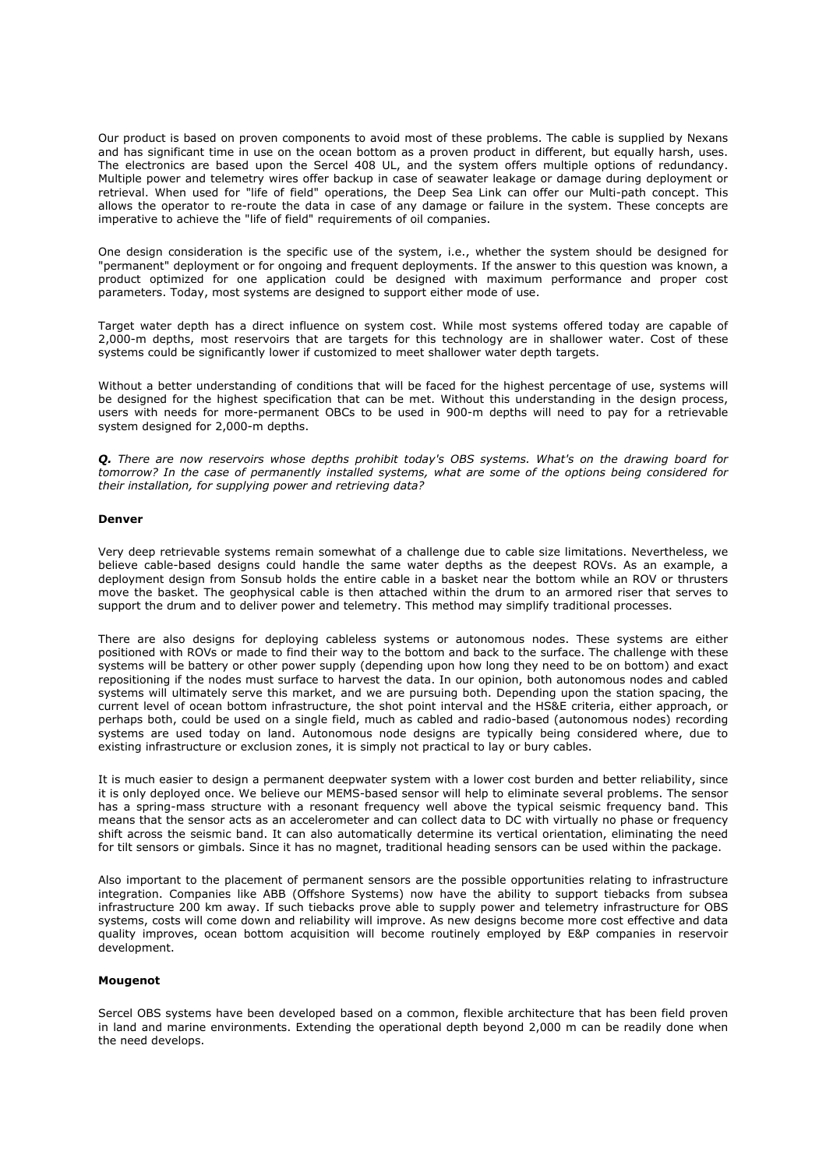Our product is based on proven components to avoid most of these problems. The cable is supplied by Nexans and has significant time in use on the ocean bottom as a proven product in different, but equally harsh, uses. The electronics are based upon the Sercel 408 UL, and the system offers multiple options of redundancy. Multiple power and telemetry wires offer backup in case of seawater leakage or damage during deployment or retrieval. When used for "life of field" operations, the Deep Sea Link can offer our Multi-path concept. This allows the operator to re-route the data in case of any damage or failure in the system. These concepts are imperative to achieve the "life of field" requirements of oil companies.

One design consideration is the specific use of the system, i.e., whether the system should be designed for "permanent" deployment or for ongoing and frequent deployments. If the answer to this question was known, a product optimized for one application could be designed with maximum performance and proper cost parameters. Today, most systems are designed to support either mode of use.

Target water depth has a direct influence on system cost. While most systems offered today are capable of 2,000-m depths, most reservoirs that are targets for this technology are in shallower water. Cost of these systems could be significantly lower if customized to meet shallower water depth targets.

Without a better understanding of conditions that will be faced for the highest percentage of use, systems will be designed for the highest specification that can be met. Without this understanding in the design process, users with needs for more-permanent OBCs to be used in 900-m depths will need to pay for a retrievable system designed for 2,000-m depths.

*Q. There are now reservoirs whose depths prohibit today's OBS systems. What's on the drawing board for tomorrow? In the case of permanently installed systems, what are some of the options being considered for their installation, for supplying power and retrieving data?*

#### **Denver**

Very deep retrievable systems remain somewhat of a challenge due to cable size limitations. Nevertheless, we believe cable-based designs could handle the same water depths as the deepest ROVs. As an example, a deployment design from Sonsub holds the entire cable in a basket near the bottom while an ROV or thrusters move the basket. The geophysical cable is then attached within the drum to an armored riser that serves to support the drum and to deliver power and telemetry. This method may simplify traditional processes.

There are also designs for deploying cableless systems or autonomous nodes. These systems are either positioned with ROVs or made to find their way to the bottom and back to the surface. The challenge with these systems will be battery or other power supply (depending upon how long they need to be on bottom) and exact repositioning if the nodes must surface to harvest the data. In our opinion, both autonomous nodes and cabled systems will ultimately serve this market, and we are pursuing both. Depending upon the station spacing, the current level of ocean bottom infrastructure, the shot point interval and the HS&E criteria, either approach, or perhaps both, could be used on a single field, much as cabled and radio-based (autonomous nodes) recording systems are used today on land. Autonomous node designs are typically being considered where, due to existing infrastructure or exclusion zones, it is simply not practical to lay or bury cables.

It is much easier to design a permanent deepwater system with a lower cost burden and better reliability, since it is only deployed once. We believe our MEMS-based sensor will help to eliminate several problems. The sensor has a spring-mass structure with a resonant frequency well above the typical seismic frequency band. This means that the sensor acts as an accelerometer and can collect data to DC with virtually no phase or frequency shift across the seismic band. It can also automatically determine its vertical orientation, eliminating the need for tilt sensors or gimbals. Since it has no magnet, traditional heading sensors can be used within the package.

Also important to the placement of permanent sensors are the possible opportunities relating to infrastructure integration. Companies like ABB (Offshore Systems) now have the ability to support tiebacks from subsea infrastructure 200 km away. If such tiebacks prove able to supply power and telemetry infrastructure for OBS systems, costs will come down and reliability will improve. As new designs become more cost effective and data quality improves, ocean bottom acquisition will become routinely employed by E&P companies in reservoir development.

## **Mougenot**

Sercel OBS systems have been developed based on a common, flexible architecture that has been field proven in land and marine environments. Extending the operational depth beyond 2,000 m can be readily done when the need develops.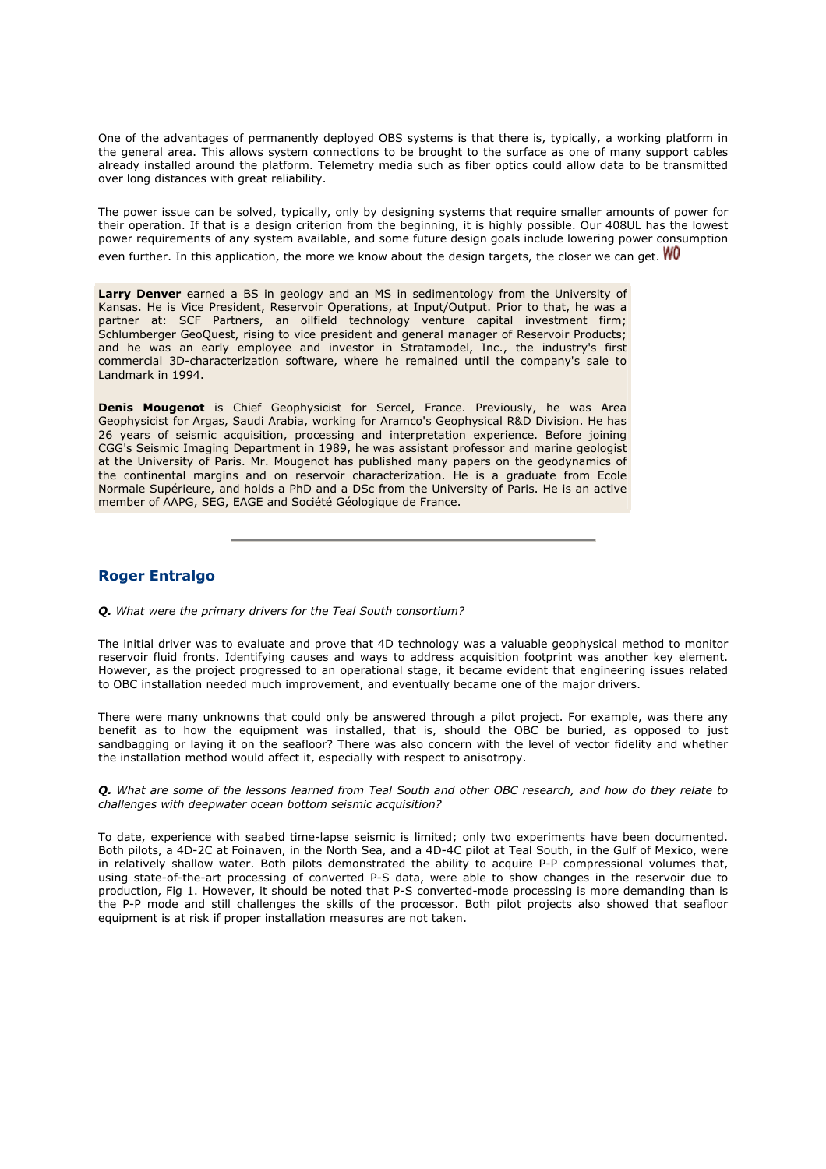One of the advantages of permanently deployed OBS systems is that there is, typically, a working platform in the general area. This allows system connections to be brought to the surface as one of many support cables already installed around the platform. Telemetry media such as fiber optics could allow data to be transmitted over long distances with great reliability.

The power issue can be solved, typically, only by designing systems that require smaller amounts of power for their operation. If that is a design criterion from the beginning, it is highly possible. Our 408UL has the lowest power requirements of any system available, and some future design goals include lowering power consumption

even further. In this application, the more we know about the design targets, the closer we can get.  $W_0$ 

Larry Denver earned a BS in geology and an MS in sedimentology from the University of Kansas. He is Vice President, Reservoir Operations, at Input/Output. Prior to that, he was a partner at: SCF Partners, an oilfield technology venture capital investment firm; Schlumberger GeoQuest, rising to vice president and general manager of Reservoir Products; and he was an early employee and investor in Stratamodel, Inc., the industry's first commercial 3D-characterization software, where he remained until the company's sale to Landmark in 1994.

**Denis Mougenot** is Chief Geophysicist for Sercel, France. Previously, he was Area Geophysicist for Argas, Saudi Arabia, working for Aramco's Geophysical R&D Division. He has 26 years of seismic acquisition, processing and interpretation experience. Before joining CGG's Seismic Imaging Department in 1989, he was assistant professor and marine geologist at the University of Paris. Mr. Mougenot has published many papers on the geodynamics of the continental margins and on reservoir characterization. He is a graduate from Ecole Normale Supérieure, and holds a PhD and a DSc from the University of Paris. He is an active member of AAPG, SEG, EAGE and Société Géologique de France.

## **Roger Entralgo**

*Q. What were the primary drivers for the Teal South consortium?*

The initial driver was to evaluate and prove that 4D technology was a valuable geophysical method to monitor reservoir fluid fronts. Identifying causes and ways to address acquisition footprint was another key element. However, as the project progressed to an operational stage, it became evident that engineering issues related to OBC installation needed much improvement, and eventually became one of the major drivers.

There were many unknowns that could only be answered through a pilot project. For example, was there any benefit as to how the equipment was installed, that is, should the OBC be buried, as opposed to just sandbagging or laying it on the seafloor? There was also concern with the level of vector fidelity and whether the installation method would affect it, especially with respect to anisotropy.

*Q. What are some of the lessons learned from Teal South and other OBC research, and how do they relate to challenges with deepwater ocean bottom seismic acquisition?*

To date, experience with seabed time-lapse seismic is limited; only two experiments have been documented. Both pilots, a 4D-2C at Foinaven, in the North Sea, and a 4D-4C pilot at Teal South, in the Gulf of Mexico, were in relatively shallow water. Both pilots demonstrated the ability to acquire P-P compressional volumes that, using state-of-the-art processing of converted P-S data, were able to show changes in the reservoir due to production, Fig 1. However, it should be noted that P-S converted-mode processing is more demanding than is the P-P mode and still challenges the skills of the processor. Both pilot projects also showed that seafloor equipment is at risk if proper installation measures are not taken.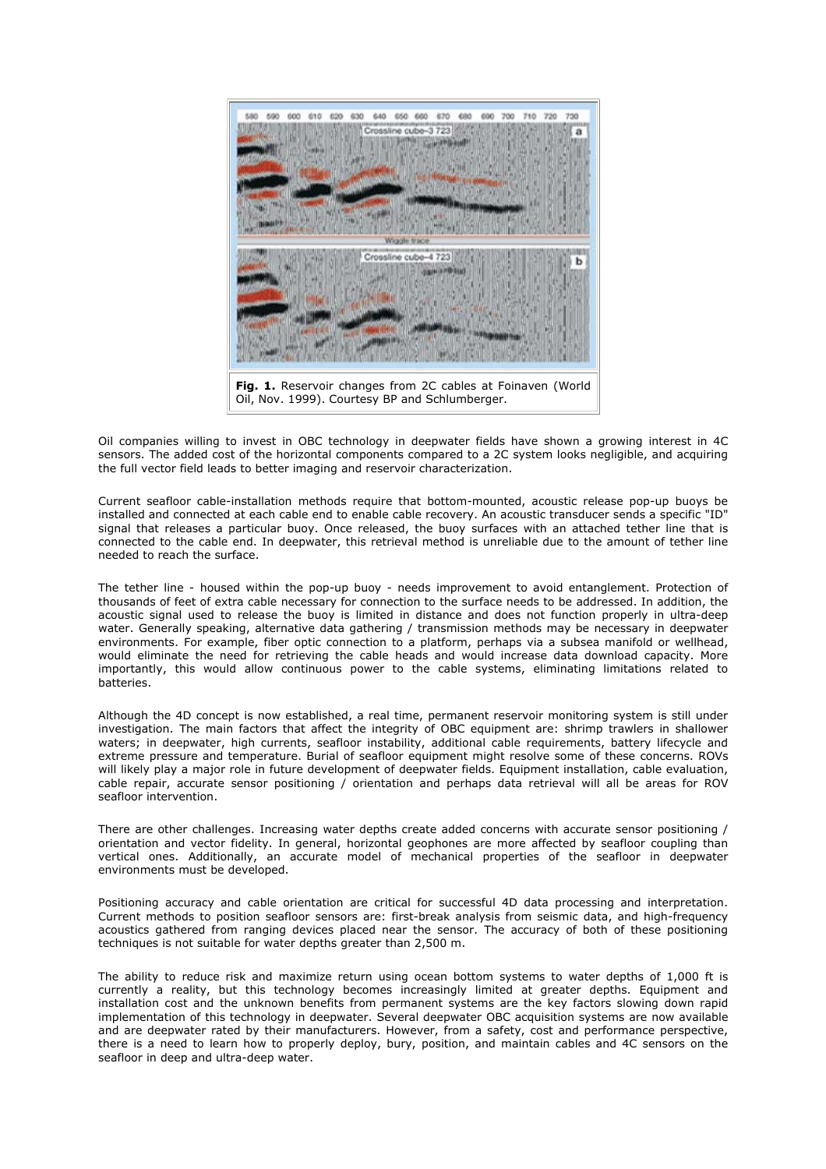

Oil companies willing to invest in OBC technology in deepwater fields have shown a growing interest in 4C sensors. The added cost of the horizontal components compared to a 2C system looks negligible, and acquiring the full vector field leads to better imaging and reservoir characterization.

Current seafloor cable-installation methods require that bottom-mounted, acoustic release pop-up buoys be installed and connected at each cable end to enable cable recovery. An acoustic transducer sends a specific "ID" signal that releases a particular buoy. Once released, the buoy surfaces with an attached tether line that is connected to the cable end. In deepwater, this retrieval method is unreliable due to the amount of tether line needed to reach the surface.

The tether line - housed within the pop-up buoy - needs improvement to avoid entanglement. Protection of thousands of feet of extra cable necessary for connection to the surface needs to be addressed. In addition, the acoustic signal used to release the buoy is limited in distance and does not function properly in ultra-deep water. Generally speaking, alternative data gathering / transmission methods may be necessary in deepwater environments. For example, fiber optic connection to a platform, perhaps via a subsea manifold or wellhead, would eliminate the need for retrieving the cable heads and would increase data download capacity. More importantly, this would allow continuous power to the cable systems, eliminating limitations related to batteries.

Although the 4D concept is now established, a real time, permanent reservoir monitoring system is still under investigation. The main factors that affect the integrity of OBC equipment are: shrimp trawlers in shallower waters; in deepwater, high currents, seafloor instability, additional cable requirements, battery lifecycle and extreme pressure and temperature. Burial of seafloor equipment might resolve some of these concerns. ROVs will likely play a major role in future development of deepwater fields. Equipment installation, cable evaluation, cable repair, accurate sensor positioning / orientation and perhaps data retrieval will all be areas for ROV seafloor intervention.

There are other challenges. Increasing water depths create added concerns with accurate sensor positioning / orientation and vector fidelity. In general, horizontal geophones are more affected by seafloor coupling than vertical ones. Additionally, an accurate model of mechanical properties of the seafloor in deepwater environments must be developed.

Positioning accuracy and cable orientation are critical for successful 4D data processing and interpretation. Current methods to position seafloor sensors are: first-break analysis from seismic data, and high-frequency acoustics gathered from ranging devices placed near the sensor. The accuracy of both of these positioning techniques is not suitable for water depths greater than 2,500 m.

The ability to reduce risk and maximize return using ocean bottom systems to water depths of 1,000 ft is currently a reality, but this technology becomes increasingly limited at greater depths. Equipment and installation cost and the unknown benefits from permanent systems are the key factors slowing down rapid implementation of this technology in deepwater. Several deepwater OBC acquisition systems are now available and are deepwater rated by their manufacturers. However, from a safety, cost and performance perspective, there is a need to learn how to properly deploy, bury, position, and maintain cables and 4C sensors on the seafloor in deep and ultra-deep water.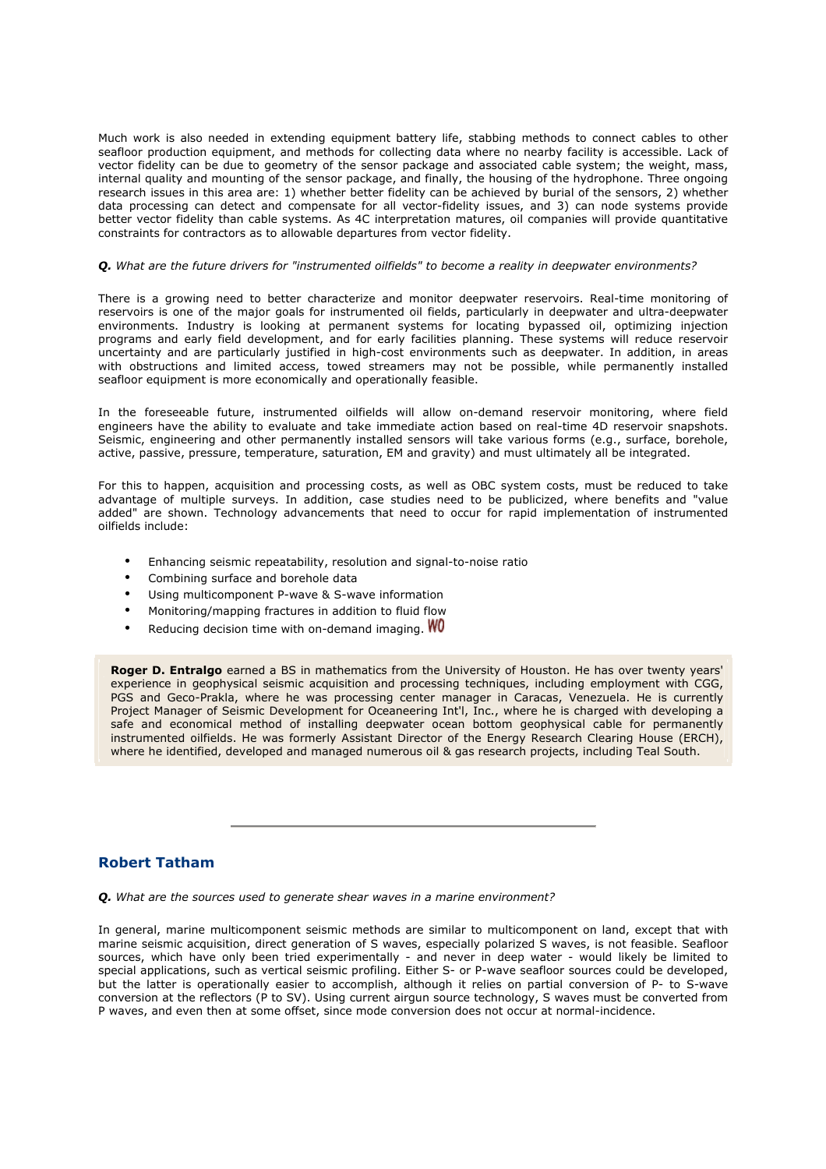Much work is also needed in extending equipment battery life, stabbing methods to connect cables to other seafloor production equipment, and methods for collecting data where no nearby facility is accessible. Lack of vector fidelity can be due to geometry of the sensor package and associated cable system; the weight, mass, internal quality and mounting of the sensor package, and finally, the housing of the hydrophone. Three ongoing research issues in this area are: 1) whether better fidelity can be achieved by burial of the sensors, 2) whether data processing can detect and compensate for all vector-fidelity issues, and 3) can node systems provide better vector fidelity than cable systems. As 4C interpretation matures, oil companies will provide quantitative constraints for contractors as to allowable departures from vector fidelity.

#### *Q. What are the future drivers for "instrumented oilfields" to become a reality in deepwater environments?*

There is a growing need to better characterize and monitor deepwater reservoirs. Real-time monitoring of reservoirs is one of the major goals for instrumented oil fields, particularly in deepwater and ultra-deepwater environments. Industry is looking at permanent systems for locating bypassed oil, optimizing injection programs and early field development, and for early facilities planning. These systems will reduce reservoir uncertainty and are particularly justified in high-cost environments such as deepwater. In addition, in areas with obstructions and limited access, towed streamers may not be possible, while permanently installed seafloor equipment is more economically and operationally feasible.

In the foreseeable future, instrumented oilfields will allow on-demand reservoir monitoring, where field engineers have the ability to evaluate and take immediate action based on real-time 4D reservoir snapshots. Seismic, engineering and other permanently installed sensors will take various forms (e.g., surface, borehole, active, passive, pressure, temperature, saturation, EM and gravity) and must ultimately all be integrated.

For this to happen, acquisition and processing costs, as well as OBC system costs, must be reduced to take advantage of multiple surveys. In addition, case studies need to be publicized, where benefits and "value added" are shown. Technology advancements that need to occur for rapid implementation of instrumented oilfields include:

- Enhancing seismic repeatability, resolution and signal-to-noise ratio
- Combining surface and borehole data
- Using multicomponent P-wave & S-wave information
- Monitoring/mapping fractures in addition to fluid flow
- Reducing decision time with on-demand imaging.  $W_0$

**Roger D. Entralgo** earned a BS in mathematics from the University of Houston. He has over twenty years' experience in geophysical seismic acquisition and processing techniques, including employment with CGG, PGS and Geco-Prakla, where he was processing center manager in Caracas, Venezuela. He is currently Project Manager of Seismic Development for Oceaneering Int'l, Inc., where he is charged with developing a safe and economical method of installing deepwater ocean bottom geophysical cable for permanently instrumented oilfields. He was formerly Assistant Director of the Energy Research Clearing House (ERCH), where he identified, developed and managed numerous oil & gas research projects, including Teal South.

# **Robert Tatham**

*Q. What are the sources used to generate shear waves in a marine environment?*

In general, marine multicomponent seismic methods are similar to multicomponent on land, except that with marine seismic acquisition, direct generation of S waves, especially polarized S waves, is not feasible. Seafloor sources, which have only been tried experimentally - and never in deep water - would likely be limited to special applications, such as vertical seismic profiling. Either S- or P-wave seafloor sources could be developed, but the latter is operationally easier to accomplish, although it relies on partial conversion of P- to S-wave conversion at the reflectors (P to SV). Using current airgun source technology, S waves must be converted from P waves, and even then at some offset, since mode conversion does not occur at normal-incidence.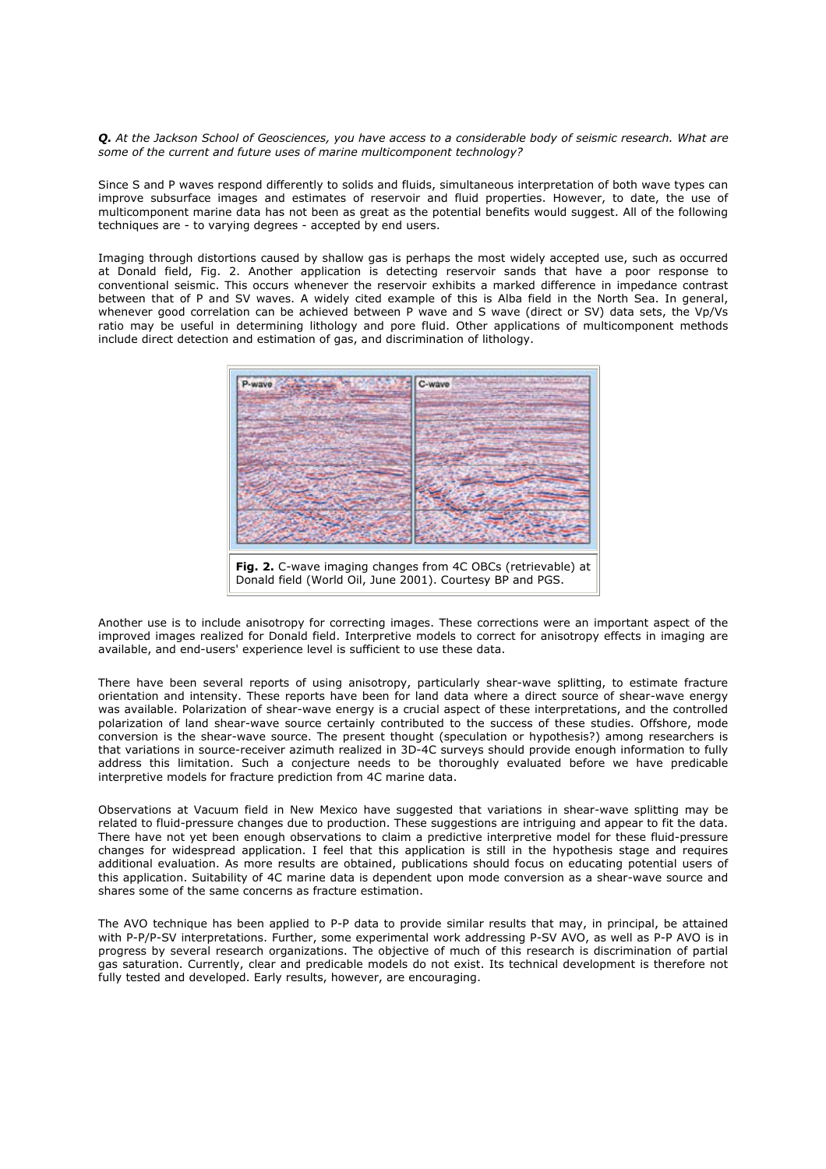*Q. At the Jackson School of Geosciences, you have access to a considerable body of seismic research. What are some of the current and future uses of marine multicomponent technology?*

Since S and P waves respond differently to solids and fluids, simultaneous interpretation of both wave types can improve subsurface images and estimates of reservoir and fluid properties. However, to date, the use of multicomponent marine data has not been as great as the potential benefits would suggest. All of the following techniques are - to varying degrees - accepted by end users.

Imaging through distortions caused by shallow gas is perhaps the most widely accepted use, such as occurred at Donald field, Fig. 2. Another application is detecting reservoir sands that have a poor response to conventional seismic. This occurs whenever the reservoir exhibits a marked difference in impedance contrast between that of P and SV waves. A widely cited example of this is Alba field in the North Sea. In general, whenever good correlation can be achieved between P wave and S wave (direct or SV) data sets, the Vp/Vs ratio may be useful in determining lithology and pore fluid. Other applications of multicomponent methods include direct detection and estimation of gas, and discrimination of lithology.



Another use is to include anisotropy for correcting images. These corrections were an important aspect of the improved images realized for Donald field. Interpretive models to correct for anisotropy effects in imaging are available, and end-users' experience level is sufficient to use these data.

There have been several reports of using anisotropy, particularly shear-wave splitting, to estimate fracture orientation and intensity. These reports have been for land data where a direct source of shear-wave energy was available. Polarization of shear-wave energy is a crucial aspect of these interpretations, and the controlled polarization of land shear-wave source certainly contributed to the success of these studies. Offshore, mode conversion is the shear-wave source. The present thought (speculation or hypothesis?) among researchers is that variations in source-receiver azimuth realized in 3D-4C surveys should provide enough information to fully address this limitation. Such a conjecture needs to be thoroughly evaluated before we have predicable interpretive models for fracture prediction from 4C marine data.

Observations at Vacuum field in New Mexico have suggested that variations in shear-wave splitting may be related to fluid-pressure changes due to production. These suggestions are intriguing and appear to fit the data. There have not yet been enough observations to claim a predictive interpretive model for these fluid-pressure changes for widespread application. I feel that this application is still in the hypothesis stage and requires additional evaluation. As more results are obtained, publications should focus on educating potential users of this application. Suitability of 4C marine data is dependent upon mode conversion as a shear-wave source and shares some of the same concerns as fracture estimation.

The AVO technique has been applied to P-P data to provide similar results that may, in principal, be attained with P-P/P-SV interpretations. Further, some experimental work addressing P-SV AVO, as well as P-P AVO is in progress by several research organizations. The objective of much of this research is discrimination of partial gas saturation. Currently, clear and predicable models do not exist. Its technical development is therefore not fully tested and developed. Early results, however, are encouraging.